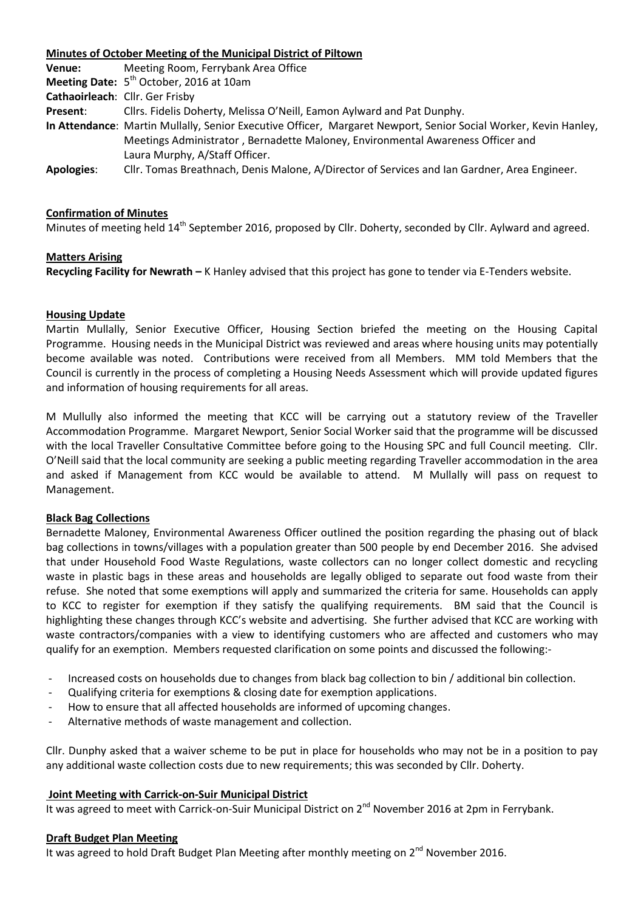## **Minutes of October Meeting of the Municipal District of Piltown**

| Venue:                          | Meeting Room, Ferrybank Area Office                                                                             |
|---------------------------------|-----------------------------------------------------------------------------------------------------------------|
|                                 | Meeting Date: 5 <sup>th</sup> October, 2016 at 10am                                                             |
| Cathaoirleach: Cllr. Ger Frisby |                                                                                                                 |
| Present:                        | Cllrs. Fidelis Doherty, Melissa O'Neill, Eamon Aylward and Pat Dunphy.                                          |
|                                 | In Attendance: Martin Mullally, Senior Executive Officer, Margaret Newport, Senior Social Worker, Kevin Hanley, |
|                                 | Meetings Administrator, Bernadette Maloney, Environmental Awareness Officer and                                 |
|                                 | Laura Murphy, A/Staff Officer.                                                                                  |
| <b>Apologies:</b>               | Cllr. Tomas Breathnach, Denis Malone, A/Director of Services and Ian Gardner, Area Engineer.                    |

#### **Confirmation of Minutes**

Minutes of meeting held 14<sup>th</sup> September 2016, proposed by Cllr. Doherty, seconded by Cllr. Aylward and agreed.

#### **Matters Arising**

**Recycling Facility for Newrath –** K Hanley advised that this project has gone to tender via E-Tenders website.

#### **Housing Update**

Martin Mullally, Senior Executive Officer, Housing Section briefed the meeting on the Housing Capital Programme. Housing needs in the Municipal District was reviewed and areas where housing units may potentially become available was noted. Contributions were received from all Members. MM told Members that the Council is currently in the process of completing a Housing Needs Assessment which will provide updated figures and information of housing requirements for all areas.

M Mullully also informed the meeting that KCC will be carrying out a statutory review of the Traveller Accommodation Programme. Margaret Newport, Senior Social Worker said that the programme will be discussed with the local Traveller Consultative Committee before going to the Housing SPC and full Council meeting. Cllr. O'Neill said that the local community are seeking a public meeting regarding Traveller accommodation in the area and asked if Management from KCC would be available to attend. M Mullally will pass on request to Management.

#### **Black Bag Collections**

Bernadette Maloney, Environmental Awareness Officer outlined the position regarding the phasing out of black bag collections in towns/villages with a population greater than 500 people by end December 2016. She advised that under Household Food Waste Regulations, waste collectors can no longer collect domestic and recycling waste in plastic bags in these areas and households are legally obliged to separate out food waste from their refuse. She noted that some exemptions will apply and summarized the criteria for same. Households can apply to KCC to register for exemption if they satisfy the qualifying requirements. BM said that the Council is highlighting these changes through KCC's website and advertising. She further advised that KCC are working with waste contractors/companies with a view to identifying customers who are affected and customers who may qualify for an exemption. Members requested clarification on some points and discussed the following:-

- Increased costs on households due to changes from black bag collection to bin / additional bin collection.
- Qualifying criteria for exemptions & closing date for exemption applications.
- How to ensure that all affected households are informed of upcoming changes.
- Alternative methods of waste management and collection.

Cllr. Dunphy asked that a waiver scheme to be put in place for households who may not be in a position to pay any additional waste collection costs due to new requirements; this was seconded by Cllr. Doherty.

#### **Joint Meeting with Carrick-on-Suir Municipal District**

It was agreed to meet with Carrick-on-Suir Municipal District on 2<sup>nd</sup> November 2016 at 2pm in Ferrybank.

#### **Draft Budget Plan Meeting**

It was agreed to hold Draft Budget Plan Meeting after monthly meeting on  $2^{nd}$  November 2016.